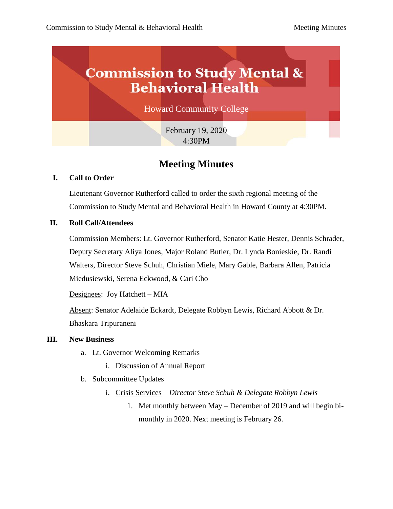# **Commission to Study Mental & Behavioral Health**

Howard Community College

February 19, 2020 4:30PM

# **Meeting Minutes**

# **I. Call to Order**

Lieutenant Governor Rutherford called to order the sixth regional meeting of the Commission to Study Mental and Behavioral Health in Howard County at 4:30PM.

## **II. Roll Call/Attendees**

Commission Members: Lt. Governor Rutherford, Senator Katie Hester, Dennis Schrader, Deputy Secretary Aliya Jones, Major Roland Butler, Dr. Lynda Bonieskie, Dr. Randi Walters, Director Steve Schuh, Christian Miele, Mary Gable, Barbara Allen, Patricia Miedusiewski, Serena Eckwood, & Cari Cho

Designees: Joy Hatchett – MIA

Absent: Senator Adelaide Eckardt, Delegate Robbyn Lewis, Richard Abbott & Dr. Bhaskara Tripuraneni

#### **III. New Business**

- a. Lt. Governor Welcoming Remarks
	- i. Discussion of Annual Report
- b. Subcommittee Updates
	- i. Crisis Services *Director Steve Schuh & Delegate Robbyn Lewis*
		- 1. Met monthly between May December of 2019 and will begin bimonthly in 2020. Next meeting is February 26.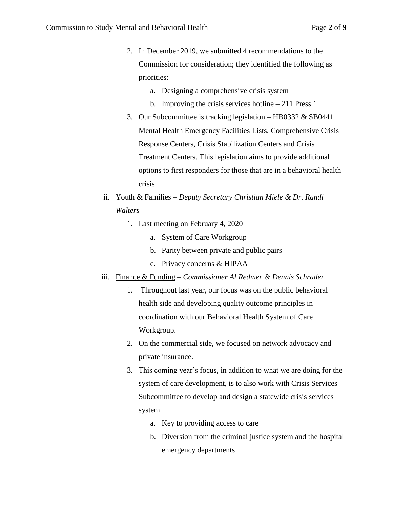- 2. In December 2019, we submitted 4 recommendations to the Commission for consideration; they identified the following as priorities:
	- a. Designing a comprehensive crisis system
	- b. Improving the crisis services hotline 211 Press 1
- 3. Our Subcommittee is tracking legislation HB0332  $&$  SB0441 Mental Health Emergency Facilities Lists, Comprehensive Crisis Response Centers, Crisis Stabilization Centers and Crisis Treatment Centers. This legislation aims to provide additional options to first responders for those that are in a behavioral health crisis.
- ii. Youth & Families *Deputy Secretary Christian Miele & Dr. Randi Walters*
	- 1. Last meeting on February 4, 2020
		- a. System of Care Workgroup
		- b. Parity between private and public pairs
		- c. Privacy concerns & HIPAA
- iii. Finance & Funding *Commissioner Al Redmer & Dennis Schrader*
	- 1. Throughout last year, our focus was on the public behavioral health side and developing quality outcome principles in coordination with our Behavioral Health System of Care Workgroup.
	- 2. On the commercial side, we focused on network advocacy and private insurance.
	- 3. This coming year's focus, in addition to what we are doing for the system of care development, is to also work with Crisis Services Subcommittee to develop and design a statewide crisis services system.
		- a. Key to providing access to care
		- b. Diversion from the criminal justice system and the hospital emergency departments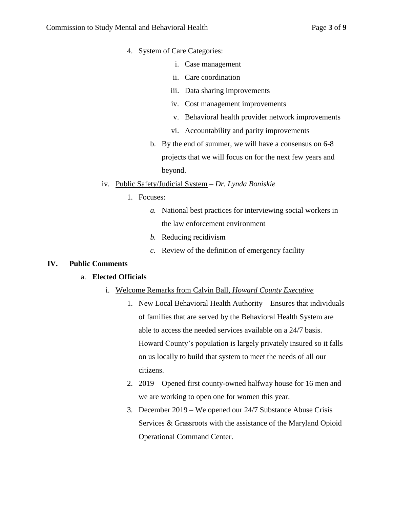- 4. System of Care Categories:
	- i. Case management
	- ii. Care coordination
	- iii. Data sharing improvements
	- iv. Cost management improvements
	- v. Behavioral health provider network improvements
	- vi. Accountability and parity improvements
	- b. By the end of summer, we will have a consensus on 6-8 projects that we will focus on for the next few years and beyond.

## iv. Public Safety/Judicial System – *Dr. Lynda Boniskie*

- 1. Focuses:
	- *a.* National best practices for interviewing social workers in the law enforcement environment
	- *b.* Reducing recidivism
	- *c.* Review of the definition of emergency facility

# **IV. Public Comments**

#### a. **Elected Officials**

- i. Welcome Remarks from Calvin Ball, *Howard County Executive*
	- 1. New Local Behavioral Health Authority Ensures that individuals of families that are served by the Behavioral Health System are able to access the needed services available on a 24/7 basis. Howard County's population is largely privately insured so it falls on us locally to build that system to meet the needs of all our citizens.
	- 2. 2019 Opened first county-owned halfway house for 16 men and we are working to open one for women this year.
	- 3. December 2019 We opened our 24/7 Substance Abuse Crisis Services & Grassroots with the assistance of the Maryland Opioid Operational Command Center.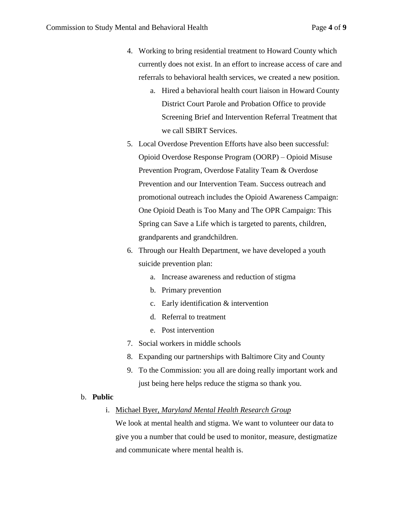- 4. Working to bring residential treatment to Howard County which currently does not exist. In an effort to increase access of care and referrals to behavioral health services, we created a new position.
	- a. Hired a behavioral health court liaison in Howard County District Court Parole and Probation Office to provide Screening Brief and Intervention Referral Treatment that we call SBIRT Services.
- 5. Local Overdose Prevention Efforts have also been successful: Opioid Overdose Response Program (OORP) – Opioid Misuse Prevention Program, Overdose Fatality Team & Overdose Prevention and our Intervention Team. Success outreach and promotional outreach includes the Opioid Awareness Campaign: One Opioid Death is Too Many and The OPR Campaign: This Spring can Save a Life which is targeted to parents, children, grandparents and grandchildren.
- 6. Through our Health Department, we have developed a youth suicide prevention plan:
	- a. Increase awareness and reduction of stigma
	- b. Primary prevention
	- c. Early identification & intervention
	- d. Referral to treatment
	- e. Post intervention
- 7. Social workers in middle schools
- 8. Expanding our partnerships with Baltimore City and County
- 9. To the Commission: you all are doing really important work and just being here helps reduce the stigma so thank you.

#### b. **Public**

i. Michael Byer, *Maryland Mental Health Research Group*

We look at mental health and stigma. We want to volunteer our data to give you a number that could be used to monitor, measure, destigmatize and communicate where mental health is.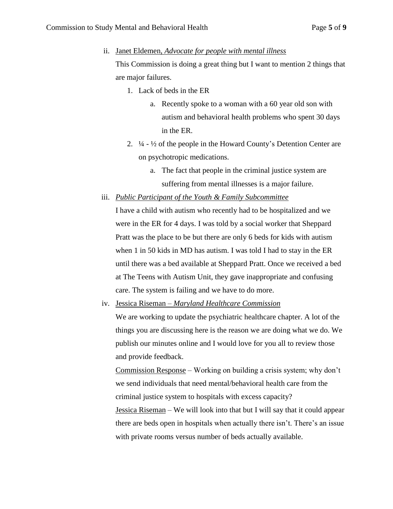ii. Janet Eldemen, *Advocate for people with mental illness*

This Commission is doing a great thing but I want to mention 2 things that are major failures.

- 1. Lack of beds in the ER
	- a. Recently spoke to a woman with a 60 year old son with autism and behavioral health problems who spent 30 days in the ER.
- 2.  $\frac{1}{4}$   $\frac{1}{2}$  of the people in the Howard County's Detention Center are on psychotropic medications.
	- a. The fact that people in the criminal justice system are suffering from mental illnesses is a major failure.
- iii. *Public Participant of the Youth & Family Subcommittee*

I have a child with autism who recently had to be hospitalized and we were in the ER for 4 days. I was told by a social worker that Sheppard Pratt was the place to be but there are only 6 beds for kids with autism when 1 in 50 kids in MD has autism. I was told I had to stay in the ER until there was a bed available at Sheppard Pratt. Once we received a bed at The Teens with Autism Unit, they gave inappropriate and confusing care. The system is failing and we have to do more.

iv. Jessica Riseman – *Maryland Healthcare Commission*

We are working to update the psychiatric healthcare chapter. A lot of the things you are discussing here is the reason we are doing what we do. We publish our minutes online and I would love for you all to review those and provide feedback.

Commission Response – Working on building a crisis system; why don't we send individuals that need mental/behavioral health care from the criminal justice system to hospitals with excess capacity?

Jessica Riseman – We will look into that but I will say that it could appear there are beds open in hospitals when actually there isn't. There's an issue with private rooms versus number of beds actually available.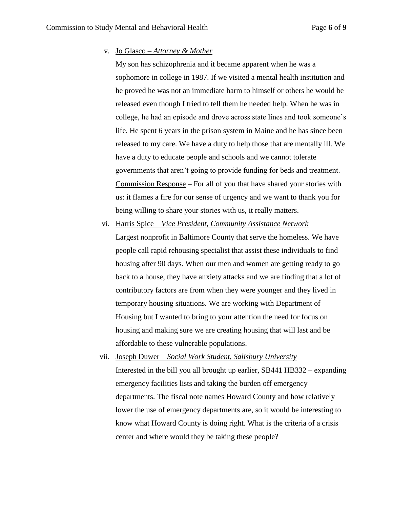#### v. Jo Glasco – *Attorney & Mother*

My son has schizophrenia and it became apparent when he was a sophomore in college in 1987. If we visited a mental health institution and he proved he was not an immediate harm to himself or others he would be released even though I tried to tell them he needed help. When he was in college, he had an episode and drove across state lines and took someone's life. He spent 6 years in the prison system in Maine and he has since been released to my care. We have a duty to help those that are mentally ill. We have a duty to educate people and schools and we cannot tolerate governments that aren't going to provide funding for beds and treatment. Commission Response – For all of you that have shared your stories with us: it flames a fire for our sense of urgency and we want to thank you for being willing to share your stories with us, it really matters.

vi. Harris Spice – *Vice President, Community Assistance Network*

Largest nonprofit in Baltimore County that serve the homeless. We have people call rapid rehousing specialist that assist these individuals to find housing after 90 days. When our men and women are getting ready to go back to a house, they have anxiety attacks and we are finding that a lot of contributory factors are from when they were younger and they lived in temporary housing situations. We are working with Department of Housing but I wanted to bring to your attention the need for focus on housing and making sure we are creating housing that will last and be affordable to these vulnerable populations.

vii. Joseph Duwer – *Social Work Student, Salisbury University* Interested in the bill you all brought up earlier, SB441 HB332 – expanding emergency facilities lists and taking the burden off emergency departments. The fiscal note names Howard County and how relatively lower the use of emergency departments are, so it would be interesting to know what Howard County is doing right. What is the criteria of a crisis center and where would they be taking these people?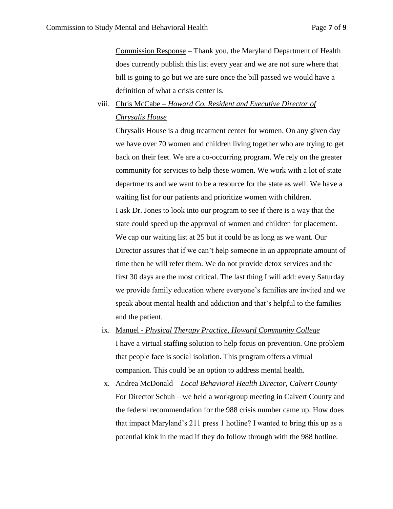Commission Response – Thank you, the Maryland Department of Health does currently publish this list every year and we are not sure where that bill is going to go but we are sure once the bill passed we would have a definition of what a crisis center is.

# viii. Chris McCabe – *Howard Co. Resident and Executive Director of Chrysalis House*

Chrysalis House is a drug treatment center for women. On any given day we have over 70 women and children living together who are trying to get back on their feet. We are a co-occurring program. We rely on the greater community for services to help these women. We work with a lot of state departments and we want to be a resource for the state as well. We have a waiting list for our patients and prioritize women with children. I ask Dr. Jones to look into our program to see if there is a way that the state could speed up the approval of women and children for placement. We cap our waiting list at 25 but it could be as long as we want. Our Director assures that if we can't help someone in an appropriate amount of time then he will refer them. We do not provide detox services and the first 30 days are the most critical. The last thing I will add: every Saturday we provide family education where everyone's families are invited and we speak about mental health and addiction and that's helpful to the families and the patient.

- ix. Manuel *Physical Therapy Practice, Howard Community College* I have a virtual staffing solution to help focus on prevention. One problem that people face is social isolation. This program offers a virtual companion. This could be an option to address mental health.
- x. Andrea McDonald *Local Behavioral Health Director, Calvert County* For Director Schuh – we held a workgroup meeting in Calvert County and the federal recommendation for the 988 crisis number came up. How does that impact Maryland's 211 press 1 hotline? I wanted to bring this up as a potential kink in the road if they do follow through with the 988 hotline.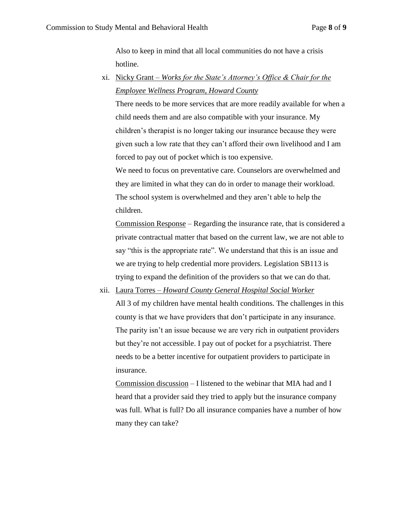Also to keep in mind that all local communities do not have a crisis hotline.

xi. Nicky Grant – *Works for the State's Attorney's Office & Chair for the Employee Wellness Program, Howard County*

There needs to be more services that are more readily available for when a child needs them and are also compatible with your insurance. My children's therapist is no longer taking our insurance because they were given such a low rate that they can't afford their own livelihood and I am forced to pay out of pocket which is too expensive.

We need to focus on preventative care. Counselors are overwhelmed and they are limited in what they can do in order to manage their workload. The school system is overwhelmed and they aren't able to help the children.

Commission Response – Regarding the insurance rate, that is considered a private contractual matter that based on the current law, we are not able to say "this is the appropriate rate". We understand that this is an issue and we are trying to help credential more providers. Legislation SB113 is trying to expand the definition of the providers so that we can do that.

xii. Laura Torres – *Howard County General Hospital Social Worker*

All 3 of my children have mental health conditions. The challenges in this county is that we have providers that don't participate in any insurance. The parity isn't an issue because we are very rich in outpatient providers but they're not accessible. I pay out of pocket for a psychiatrist. There needs to be a better incentive for outpatient providers to participate in insurance.

Commission discussion – I listened to the webinar that MIA had and I heard that a provider said they tried to apply but the insurance company was full. What is full? Do all insurance companies have a number of how many they can take?